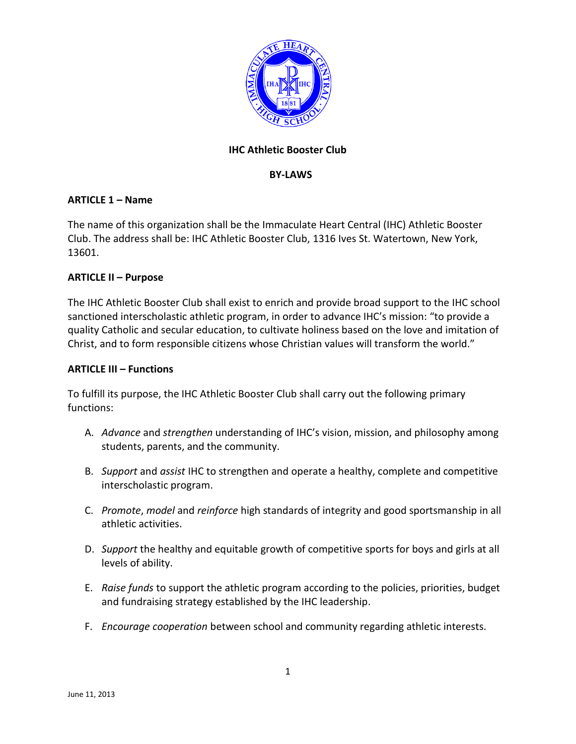

# **IHC Athletic Booster Club**

#### **BY-LAWS**

#### **ARTICLE 1 – Name**

The name of this organization shall be the Immaculate Heart Central (IHC) Athletic Booster Club. The address shall be: IHC Athletic Booster Club, 1316 Ives St. Watertown, New York, 13601.

#### **ARTICLE II – Purpose**

The IHC Athletic Booster Club shall exist to enrich and provide broad support to the IHC school sanctioned interscholastic athletic program, in order to advance IHC's mission: "to provide a quality Catholic and secular education, to cultivate holiness based on the love and imitation of Christ, and to form responsible citizens whose Christian values will transform the world."

#### **ARTICLE III – Functions**

To fulfill its purpose, the IHC Athletic Booster Club shall carry out the following primary functions:

- A. *Advance* and *strengthen* understanding of IHC's vision, mission, and philosophy among students, parents, and the community.
- B. *Support* and *assist* IHC to strengthen and operate a healthy, complete and competitive interscholastic program.
- C. *Promote*, *model* and *reinforce* high standards of integrity and good sportsmanship in all athletic activities.
- D. *Support* the healthy and equitable growth of competitive sports for boys and girls at all levels of ability.
- E. *Raise funds* to support the athletic program according to the policies, priorities, budget and fundraising strategy established by the IHC leadership.
- F. *Encourage cooperation* between school and community regarding athletic interests.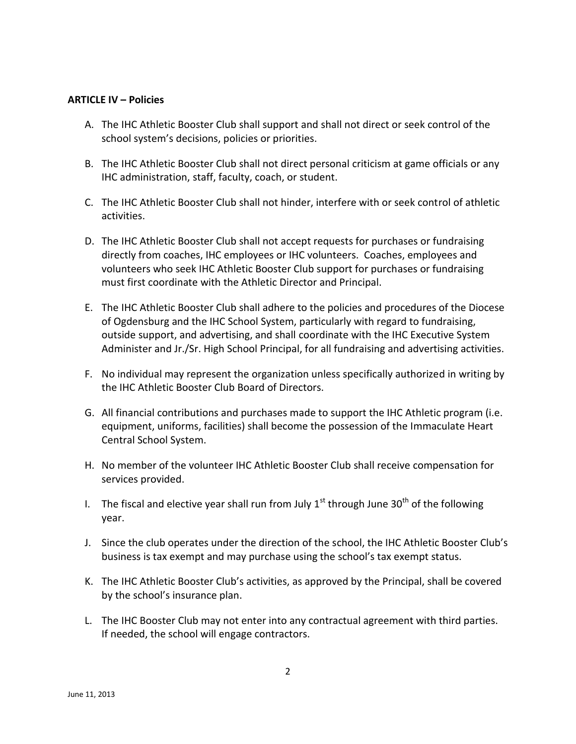#### **ARTICLE IV – Policies**

- A. The IHC Athletic Booster Club shall support and shall not direct or seek control of the school system's decisions, policies or priorities.
- B. The IHC Athletic Booster Club shall not direct personal criticism at game officials or any IHC administration, staff, faculty, coach, or student.
- C. The IHC Athletic Booster Club shall not hinder, interfere with or seek control of athletic activities.
- D. The IHC Athletic Booster Club shall not accept requests for purchases or fundraising directly from coaches, IHC employees or IHC volunteers. Coaches, employees and volunteers who seek IHC Athletic Booster Club support for purchases or fundraising must first coordinate with the Athletic Director and Principal.
- E. The IHC Athletic Booster Club shall adhere to the policies and procedures of the Diocese of Ogdensburg and the IHC School System, particularly with regard to fundraising, outside support, and advertising, and shall coordinate with the IHC Executive System Administer and Jr./Sr. High School Principal, for all fundraising and advertising activities.
- F. No individual may represent the organization unless specifically authorized in writing by the IHC Athletic Booster Club Board of Directors.
- G. All financial contributions and purchases made to support the IHC Athletic program (i.e. equipment, uniforms, facilities) shall become the possession of the Immaculate Heart Central School System.
- H. No member of the volunteer IHC Athletic Booster Club shall receive compensation for services provided.
- I. The fiscal and elective year shall run from July  $1<sup>st</sup>$  through June 30<sup>th</sup> of the following year.
- J. Since the club operates under the direction of the school, the IHC Athletic Booster Club's business is tax exempt and may purchase using the school's tax exempt status.
- K. The IHC Athletic Booster Club's activities, as approved by the Principal, shall be covered by the school's insurance plan.
- L. The IHC Booster Club may not enter into any contractual agreement with third parties. If needed, the school will engage contractors.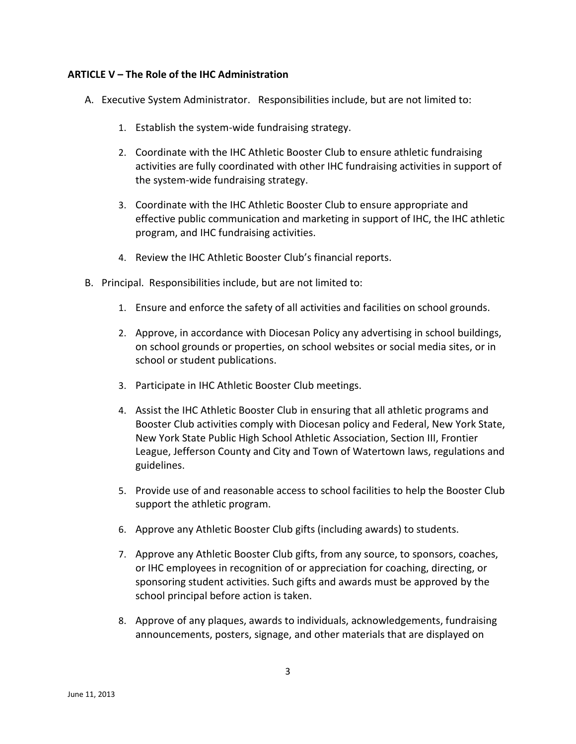## **ARTICLE V – The Role of the IHC Administration**

- A. Executive System Administrator. Responsibilities include, but are not limited to:
	- 1. Establish the system-wide fundraising strategy.
	- 2. Coordinate with the IHC Athletic Booster Club to ensure athletic fundraising activities are fully coordinated with other IHC fundraising activities in support of the system-wide fundraising strategy.
	- 3. Coordinate with the IHC Athletic Booster Club to ensure appropriate and effective public communication and marketing in support of IHC, the IHC athletic program, and IHC fundraising activities.
	- 4. Review the IHC Athletic Booster Club's financial reports.
- B. Principal. Responsibilities include, but are not limited to:
	- 1. Ensure and enforce the safety of all activities and facilities on school grounds.
	- 2. Approve, in accordance with Diocesan Policy any advertising in school buildings, on school grounds or properties, on school websites or social media sites, or in school or student publications.
	- 3. Participate in IHC Athletic Booster Club meetings.
	- 4. Assist the IHC Athletic Booster Club in ensuring that all athletic programs and Booster Club activities comply with Diocesan policy and Federal, New York State, New York State Public High School Athletic Association, Section III, Frontier League, Jefferson County and City and Town of Watertown laws, regulations and guidelines.
	- 5. Provide use of and reasonable access to school facilities to help the Booster Club support the athletic program.
	- 6. Approve any Athletic Booster Club gifts (including awards) to students.
	- 7. Approve any Athletic Booster Club gifts, from any source, to sponsors, coaches, or IHC employees in recognition of or appreciation for coaching, directing, or sponsoring student activities. Such gifts and awards must be approved by the school principal before action is taken.
	- 8. Approve of any plaques, awards to individuals, acknowledgements, fundraising announcements, posters, signage, and other materials that are displayed on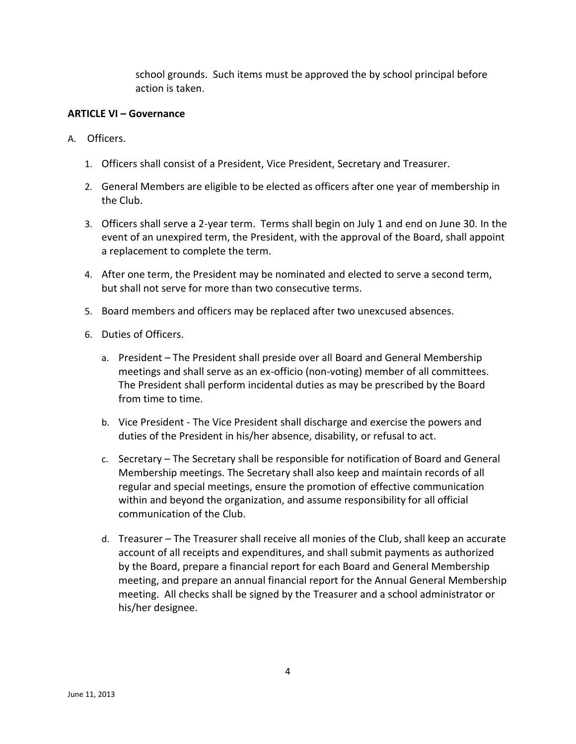school grounds. Such items must be approved the by school principal before action is taken.

# **ARTICLE VI – Governance**

- A. Officers.
	- 1. Officers shall consist of a President, Vice President, Secretary and Treasurer.
	- 2. General Members are eligible to be elected as officers after one year of membership in the Club.
	- 3. Officers shall serve a 2-year term. Terms shall begin on July 1 and end on June 30. In the event of an unexpired term, the President, with the approval of the Board, shall appoint a replacement to complete the term.
	- 4. After one term, the President may be nominated and elected to serve a second term, but shall not serve for more than two consecutive terms.
	- 5. Board members and officers may be replaced after two unexcused absences.
	- 6. Duties of Officers.
		- a. President The President shall preside over all Board and General Membership meetings and shall serve as an ex-officio (non-voting) member of all committees. The President shall perform incidental duties as may be prescribed by the Board from time to time.
		- b. Vice President The Vice President shall discharge and exercise the powers and duties of the President in his/her absence, disability, or refusal to act.
		- c. Secretary The Secretary shall be responsible for notification of Board and General Membership meetings. The Secretary shall also keep and maintain records of all regular and special meetings, ensure the promotion of effective communication within and beyond the organization, and assume responsibility for all official communication of the Club.
		- d. Treasurer The Treasurer shall receive all monies of the Club, shall keep an accurate account of all receipts and expenditures, and shall submit payments as authorized by the Board, prepare a financial report for each Board and General Membership meeting, and prepare an annual financial report for the Annual General Membership meeting. All checks shall be signed by the Treasurer and a school administrator or his/her designee.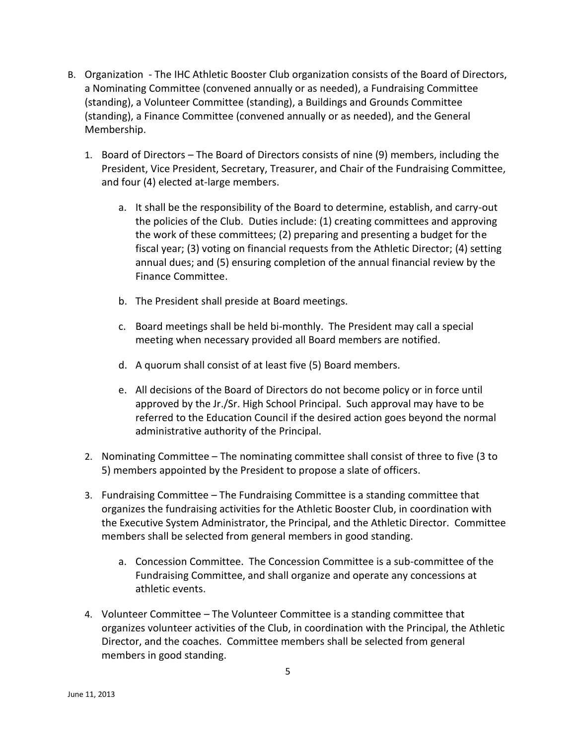- B. Organization The IHC Athletic Booster Club organization consists of the Board of Directors, a Nominating Committee (convened annually or as needed), a Fundraising Committee (standing), a Volunteer Committee (standing), a Buildings and Grounds Committee (standing), a Finance Committee (convened annually or as needed), and the General Membership.
	- 1. Board of Directors The Board of Directors consists of nine (9) members, including the President, Vice President, Secretary, Treasurer, and Chair of the Fundraising Committee, and four (4) elected at-large members.
		- a. It shall be the responsibility of the Board to determine, establish, and carry-out the policies of the Club. Duties include: (1) creating committees and approving the work of these committees; (2) preparing and presenting a budget for the fiscal year; (3) voting on financial requests from the Athletic Director; (4) setting annual dues; and (5) ensuring completion of the annual financial review by the Finance Committee.
		- b. The President shall preside at Board meetings.
		- c. Board meetings shall be held bi-monthly. The President may call a special meeting when necessary provided all Board members are notified.
		- d. A quorum shall consist of at least five (5) Board members.
		- e. All decisions of the Board of Directors do not become policy or in force until approved by the Jr./Sr. High School Principal. Such approval may have to be referred to the Education Council if the desired action goes beyond the normal administrative authority of the Principal.
	- 2. Nominating Committee The nominating committee shall consist of three to five (3 to 5) members appointed by the President to propose a slate of officers.
	- 3. Fundraising Committee The Fundraising Committee is a standing committee that organizes the fundraising activities for the Athletic Booster Club, in coordination with the Executive System Administrator, the Principal, and the Athletic Director. Committee members shall be selected from general members in good standing.
		- a. Concession Committee. The Concession Committee is a sub-committee of the Fundraising Committee, and shall organize and operate any concessions at athletic events.
	- 4. Volunteer Committee The Volunteer Committee is a standing committee that organizes volunteer activities of the Club, in coordination with the Principal, the Athletic Director, and the coaches. Committee members shall be selected from general members in good standing.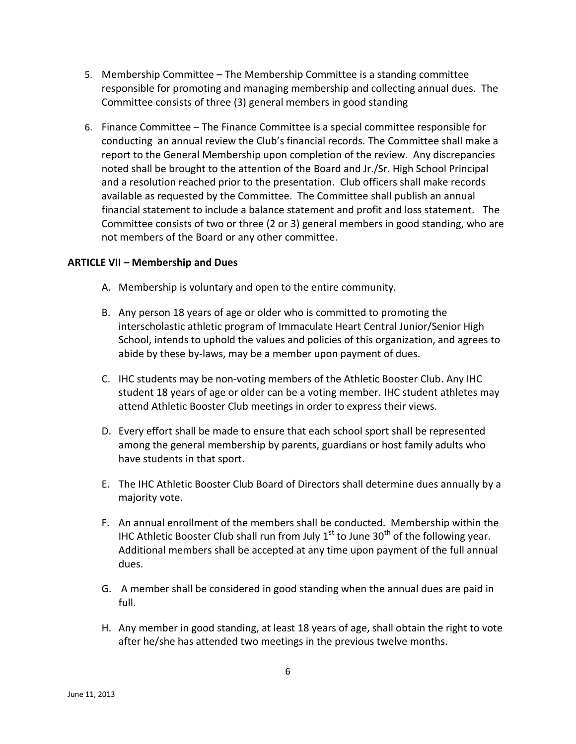- 5. Membership Committee The Membership Committee is a standing committee responsible for promoting and managing membership and collecting annual dues. The Committee consists of three (3) general members in good standing
- 6. Finance Committee The Finance Committee is a special committee responsible for conducting an annual review the Club's financial records. The Committee shall make a report to the General Membership upon completion of the review. Any discrepancies noted shall be brought to the attention of the Board and Jr./Sr. High School Principal and a resolution reached prior to the presentation. Club officers shall make records available as requested by the Committee. The Committee shall publish an annual financial statement to include a balance statement and profit and loss statement. The Committee consists of two or three (2 or 3) general members in good standing, who are not members of the Board or any other committee.

### **ARTICLE VII – Membership and Dues**

- A. Membership is voluntary and open to the entire community.
- B. Any person 18 years of age or older who is committed to promoting the interscholastic athletic program of Immaculate Heart Central Junior/Senior High School, intends to uphold the values and policies of this organization, and agrees to abide by these by-laws, may be a member upon payment of dues.
- C. IHC students may be non-voting members of the Athletic Booster Club. Any IHC student 18 years of age or older can be a voting member. IHC student athletes may attend Athletic Booster Club meetings in order to express their views.
- D. Every effort shall be made to ensure that each school sport shall be represented among the general membership by parents, guardians or host family adults who have students in that sport.
- E. The IHC Athletic Booster Club Board of Directors shall determine dues annually by a majority vote.
- F. An annual enrollment of the members shall be conducted. Membership within the IHC Athletic Booster Club shall run from July  $1<sup>st</sup>$  to June 30<sup>th</sup> of the following year. Additional members shall be accepted at any time upon payment of the full annual dues.
- G. A member shall be considered in good standing when the annual dues are paid in full.
- H. Any member in good standing, at least 18 years of age, shall obtain the right to vote after he/she has attended two meetings in the previous twelve months.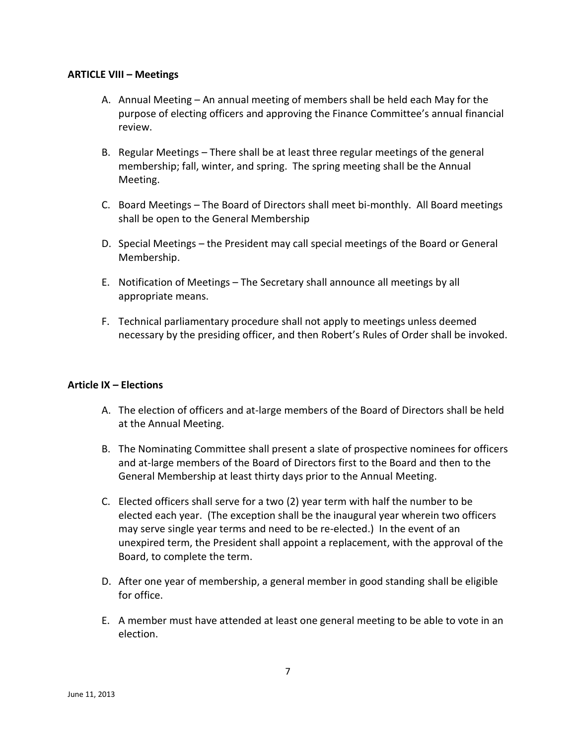#### **ARTICLE VIII – Meetings**

- A. Annual Meeting An annual meeting of members shall be held each May for the purpose of electing officers and approving the Finance Committee's annual financial review.
- B. Regular Meetings There shall be at least three regular meetings of the general membership; fall, winter, and spring. The spring meeting shall be the Annual Meeting.
- C. Board Meetings The Board of Directors shall meet bi-monthly. All Board meetings shall be open to the General Membership
- D. Special Meetings the President may call special meetings of the Board or General Membership.
- E. Notification of Meetings The Secretary shall announce all meetings by all appropriate means.
- F. Technical parliamentary procedure shall not apply to meetings unless deemed necessary by the presiding officer, and then Robert's Rules of Order shall be invoked.

### **Article IX – Elections**

- A. The election of officers and at-large members of the Board of Directors shall be held at the Annual Meeting.
- B. The Nominating Committee shall present a slate of prospective nominees for officers and at-large members of the Board of Directors first to the Board and then to the General Membership at least thirty days prior to the Annual Meeting.
- C. Elected officers shall serve for a two (2) year term with half the number to be elected each year. (The exception shall be the inaugural year wherein two officers may serve single year terms and need to be re-elected.) In the event of an unexpired term, the President shall appoint a replacement, with the approval of the Board, to complete the term.
- D. After one year of membership, a general member in good standing shall be eligible for office.
- E. A member must have attended at least one general meeting to be able to vote in an election.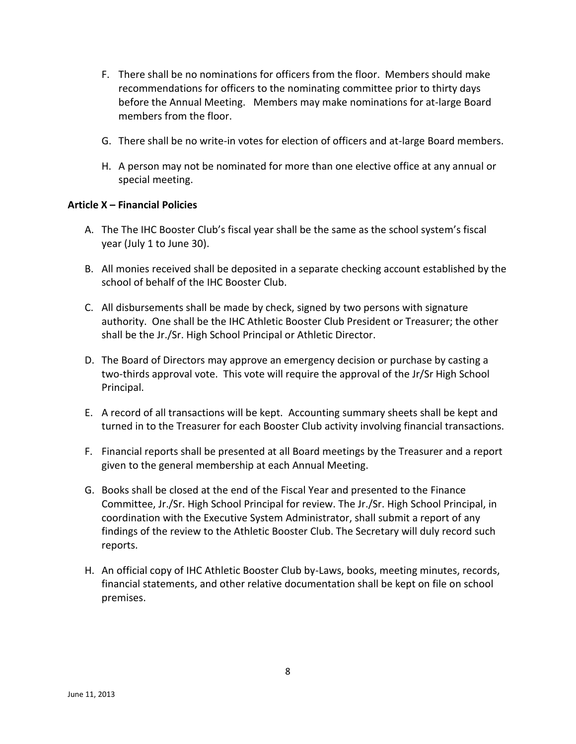- F. There shall be no nominations for officers from the floor. Members should make recommendations for officers to the nominating committee prior to thirty days before the Annual Meeting. Members may make nominations for at-large Board members from the floor.
- G. There shall be no write-in votes for election of officers and at-large Board members.
- H. A person may not be nominated for more than one elective office at any annual or special meeting.

### **Article X – Financial Policies**

- A. The The IHC Booster Club's fiscal year shall be the same as the school system's fiscal year (July 1 to June 30).
- B. All monies received shall be deposited in a separate checking account established by the school of behalf of the IHC Booster Club.
- C. All disbursements shall be made by check, signed by two persons with signature authority. One shall be the IHC Athletic Booster Club President or Treasurer; the other shall be the Jr./Sr. High School Principal or Athletic Director.
- D. The Board of Directors may approve an emergency decision or purchase by casting a two-thirds approval vote. This vote will require the approval of the Jr/Sr High School Principal.
- E. A record of all transactions will be kept. Accounting summary sheets shall be kept and turned in to the Treasurer for each Booster Club activity involving financial transactions.
- F. Financial reports shall be presented at all Board meetings by the Treasurer and a report given to the general membership at each Annual Meeting.
- G. Books shall be closed at the end of the Fiscal Year and presented to the Finance Committee, Jr./Sr. High School Principal for review. The Jr./Sr. High School Principal, in coordination with the Executive System Administrator, shall submit a report of any findings of the review to the Athletic Booster Club. The Secretary will duly record such reports.
- H. An official copy of IHC Athletic Booster Club by-Laws, books, meeting minutes, records, financial statements, and other relative documentation shall be kept on file on school premises.